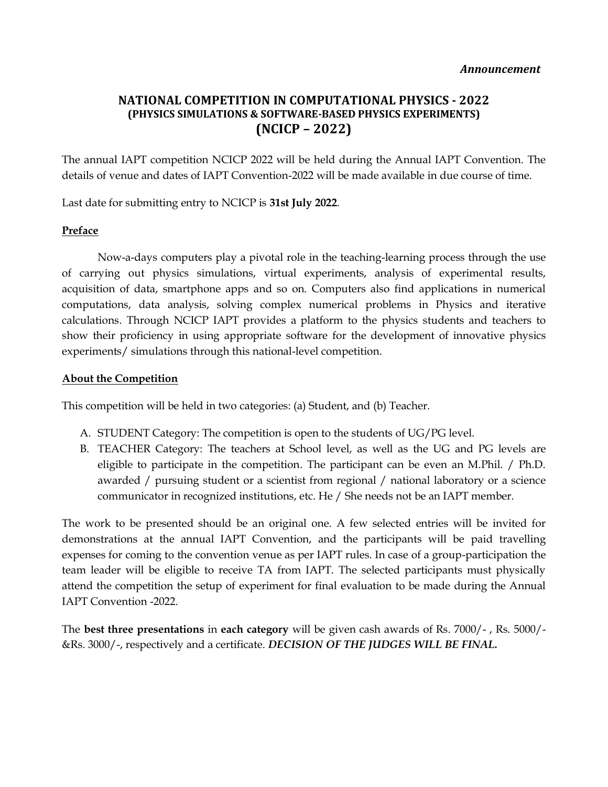# **NATIONAL COMPETITION IN COMPUTATIONAL PHYSICS - 2022 (PHYSICS SIMULATIONS & SOFTWARE-BASED PHYSICS EXPERIMENTS) (NCICP – 2022)**

The annual IAPT competition NCICP 2022 will be held during the Annual IAPT Convention. The details of venue and dates of IAPT Convention-2022 will be made available in due course of time.

Last date for submitting entry to NCICP is **31st July 2022**.

#### **Preface**

Now-a-days computers play a pivotal role in the teaching-learning process through the use of carrying out physics simulations, virtual experiments, analysis of experimental results, acquisition of data, smartphone apps and so on. Computers also find applications in numerical computations, data analysis, solving complex numerical problems in Physics and iterative calculations. Through NCICP IAPT provides a platform to the physics students and teachers to show their proficiency in using appropriate software for the development of innovative physics experiments/ simulations through this national-level competition.

#### **About the Competition**

This competition will be held in two categories: (a) Student, and (b) Teacher.

- A. STUDENT Category: The competition is open to the students of UG/PG level.
- B. TEACHER Category: The teachers at School level, as well as the UG and PG levels are eligible to participate in the competition. The participant can be even an M.Phil. / Ph.D. awarded / pursuing student or a scientist from regional / national laboratory or a science communicator in recognized institutions, etc. He / She needs not be an IAPT member.

The work to be presented should be an original one. A few selected entries will be invited for demonstrations at the annual IAPT Convention, and the participants will be paid travelling expenses for coming to the convention venue as per IAPT rules. In case of a group-participation the team leader will be eligible to receive TA from IAPT. The selected participants must physically attend the competition the setup of experiment for final evaluation to be made during the Annual IAPT Convention -2022.

The **best three presentations** in **each category** will be given cash awards of Rs. 7000/- , Rs. 5000/- &Rs. 3000/-, respectively and a certificate. *DECISION OF THE JUDGES WILL BE FINAL.*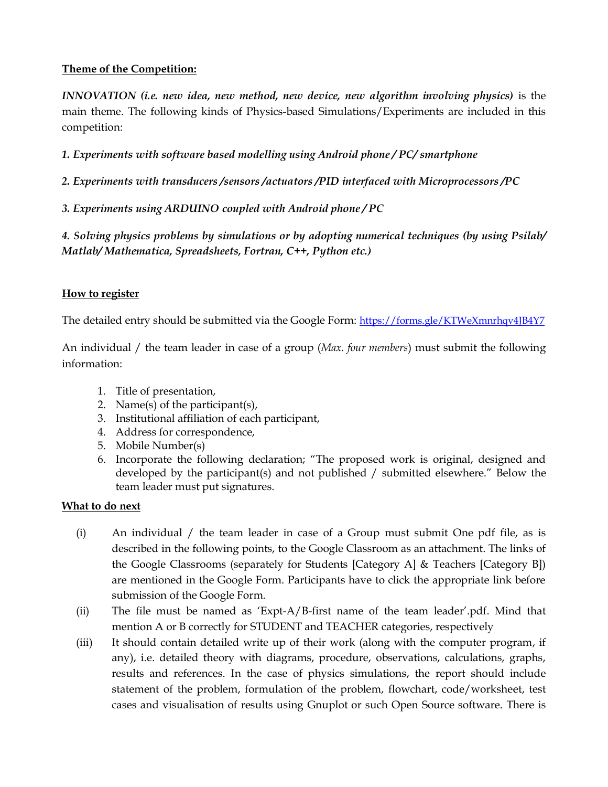### **Theme of the Competition:**

*INNOVATION (i.e. new idea, new method, new device, new algorithm involving physics)* is the main theme. The following kinds of Physics-based Simulations/Experiments are included in this competition:

*1. Experiments with software based modelling using Android phone / PC/ smartphone*

*2. Experiments with transducers /sensors /actuators /PID interfaced with Microprocessors /PC* 

*3. Experiments using ARDUINO coupled with Android phone / PC*

*4. Solving physics problems by simulations or by adopting numerical techniques (by using Psilab/ Matlab/ Mathematica, Spreadsheets, Fortran, C++, Python etc.)*

## **How to register**

The detailed entry should be submitted via the Google Form: <https://forms.gle/KTWeXmnrhqv4JB4Y7>

An individual / the team leader in case of a group (*Max. four members*) must submit the following information:

- 1. Title of presentation,
- 2. Name(s) of the participant(s),
- 3. Institutional affiliation of each participant,
- 4. Address for correspondence,
- 5. Mobile Number(s)
- 6. Incorporate the following declaration; "The proposed work is original, designed and developed by the participant(s) and not published / submitted elsewhere." Below the team leader must put signatures.

### **What to do next**

- (i) An individual / the team leader in case of a Group must submit One pdf file, as is described in the following points, to the Google Classroom as an attachment. The links of the Google Classrooms (separately for Students [Category A] & Teachers [Category B]) are mentioned in the Google Form. Participants have to click the appropriate link before submission of the Google Form.
- (ii) The file must be named as 'Expt-A/B-first name of the team leader'.pdf. Mind that mention A or B correctly for STUDENT and TEACHER categories, respectively
- (iii) It should contain detailed write up of their work (along with the computer program, if any), i.e. detailed theory with diagrams, procedure, observations, calculations, graphs, results and references. In the case of physics simulations, the report should include statement of the problem, formulation of the problem, flowchart, code/worksheet, test cases and visualisation of results using Gnuplot or such Open Source software. There is